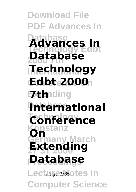**Download File PDF Advances In Database Technology Edbt Advances In 2000 7th Database International Technology Conference On Edbt 2000 Exte**nding **International Technology Conference nstar Germany March On 27 31 2000 Extending Proceedings Database** Lect Page 1/350 tes In **Computer Science**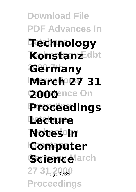**Download File PDF Advances In Database Technology Technology Edbt Konstanz 2000 7th Germany International March 27 31 2000**ence On **Extending Proceedings Database Lecture Notes In Computer** Sciencelarch 27 3 Page 2/35 **Proceedings**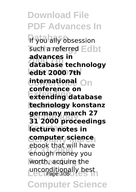**Download File PDF Advances In If you ally obsession** such a referred Edbt **2000 7th database technology International edbt 2000 7th Conference On international Extending extending database Database technology konstanz Technology 31 2000 proceedings lecture notes in Germany March computer science 27 31 2000** enough money you worth, acquire the unconditionally best<br>Page 3/35 **advances in conference on germany march 27** ebook that will have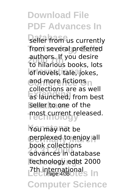seller from us currently from several preferred **2000 7th** to hilarious books, lots of novels, tale, jokes, **Confirmere fictions Extending** as launched, from best seller to one of the **Technology** most current released. authors. If you desire collections are as well

You may not be perplexed to enjoy all **27 31 2000** advances in database **Proceedings** technology edbt 2000 **Zth international Page 11** book collections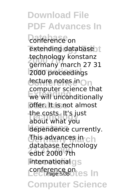**Download File PDF Advances In** *<u>Conference</u>* on extending database<sub>21</sub> **2000 7th** germany march 27 31 **International** 2000 proceedings decture notes in On **Extending Lines**<br>
we will unconditionally **offer.** It is not almost the costs. It's just<br>about what you dependence currently. **This advances in ch 27 31 2000** edbt 2000 7th **International gs** conference on<br>Lectu*rage* 5/350 Les In **Computer Science** technology konstanz computer science that about what you database technology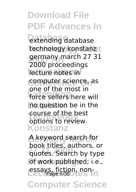**Download File PDF Advances In Database** extending database technology konstanz<sub>1</sub> **2000 7th** 2000 proceedings **International** lecture notes in Computer science, as **EXTENDING**<br>**Force sellers** here will no question be in the **Technology** options to review. **Konstanz** germany march 27 31 one of the most in course of the best

**Germany March** A keyword search for **27 31 2000** quotes. Search by type of work published; i.e., essays, fiction, non-<br>Page 6/350 Les book titles, authors, or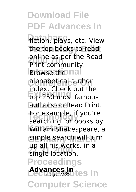**Download File PDF Advances In fiction**, plays, etc. View the top books to read **Print community.**<br>Print community. **Browse the nal Conference On** alphabetical author **Extending** top 250 most famous authors on Read Print. **For example, if you re**<br>searching for books by **William Shakespeare, a Germany March** simple search will turn **27 31 2000** single location. **Proceedings Advances In**<br>Lectrage 7/350 tes In **Computer Science** online as per the Read index. Check out the For example, if you're up all his works, in a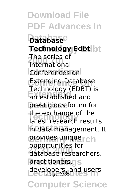**Download File PDF Advances In Database Database Technology Edbt Technology Edbt 2000 7th** International **Conferences on** Extending Database **Extending** an established and prestigious forum for the exchange of the<br>latest research results **Konstanz** in data management. It provides uniquerch **27 31 2000** database researchers, practitioners.gs developers, and users<br>
Page 8/35 **Computer Science** The series of Technology (EDBT) is the exchange of the opportunities for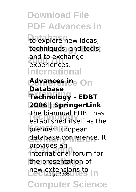to explore new ideas, techniques, and tools, and to exchange **International** experiences.

**Advances ine On Extending Technology - EDBT Database 2006 | SpringerLink The biannual EDBT has**<br>established itself as the **Konstanz** premier European **Germany March** database conference. It **27 31 2000** international forum for the presentation of new extensions to **In Computer Science Database** The biannual EDBT has provides an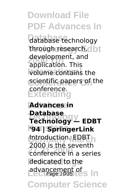**Database** database technology through research, clbt *aevelopment*, and *Volume contains the* **scientific papers of the Extending** development, and conference.

**Advances in Technology Technology — EDBT Konstanz '94 | SpringerLink Introduction. EDBT 27 31 2000** conference in a series **Proceedings** dedicated to the advancement of sln **Database** 2000 is the seventh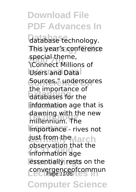**Download File PDF Advances In Database** database technology. This year's conference **2000 7th** \Connect Millions of Users and Data **Conference On** Sources," underscores **Extending** databases for the information age that is **Technology** millennium. The **Konstanz** importance - rives not **just from the March 27 31 2000** information age essentially rests on the convergenceofcommun<br>Page 11/35 **Computer Science** special theme, the importance of dawning with the new observation that the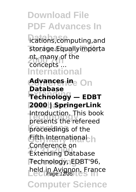**ications,computing,and** storage.Equallyimporta **2000 7th** concepts ... **International** nt, many of the

**Advances ine On Extending Technology — EDBT Database 2000 | SpringerLink Technology** presents the refereed proceedings of the **Database** Introduction. This book

**Fifth International h 27 31 2000** Extending Database **Proceedings** Technology, EDBT'96, held in Avignon, France Conference on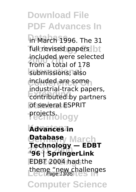**in March 1996.** The 31 full revised papers bt **2000 7th** from a total of 178 **International** submissions; also included are some **Extending the Contributed by partners** of several **ESPRIT Technology** projects. included were selected industrial-track papers,

**Konstanz Advances in Germany March Database 27 31 2000 '96 | SpringerLink Proceedings** EDBT 2004 had the theme "new challenges" **Technology — EDBT**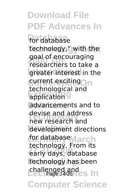**Database** for database technology," with the goar or encouraging<br>Tesearchers to take a greater interest in the Culur<sub>e</sub> exciting Ou **Extrnologica** advancements and to **Technology** new research and development directions **for database** March **27 31 2000** early days, database technology has been challenged and<br>Lectu*rage* 14/35 Les In goal of encouraging technological and devise and address technology. From its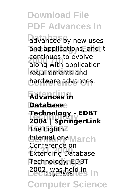advanced by new uses and applications, and it **2000 7th** along with application **International** requirements and hardware advances. continues to evolve

**Extending Advances in Database Database Technology 2004 | SpringerLink Konstanz** The Eighth **International** March **27 31 2000** Extending Database **Proceedings** Technology, EDBT **Lecture 15/35 Legending** line **Technology - EDBT** Conference on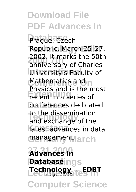Prague, Czech Republic, March 25-27, zouz. *It marks the 50t*<br>
anniversary of Charles University's Faculty of **Mathematics and n Extending** recent in a series of conferences dedicated to the dissemination<br>and exchange of the latest advances in data management.larch 2002. It marks the 50th Physics and is the most to the dissemination

**27 31 2000 Advances in Patabase**ings **Lecture Notes In Technology — EDBT** Page 16/35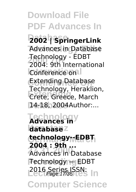**Download File PDF Advances In Database 2002 | SpringerLink** Advances in Database **2000 7th** 2004: 9th International **Conference on Conference On** Extending Database **Extending** Crete, Greece, March 14-18, 2004Author:... Technology - EDBT Technology, Heraklion,

**Technology Advances in Konstanz database Germany March technology--EDBT 27 31 2000** Advances in Database **Proceedings** Technology — EDBT **Lecture Page 17/35 Less Inc. 2004 : 9th ...**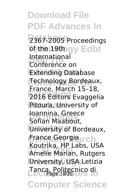**Download File PDF Advances In** 2367-2005 Proceedings **Tethe 19th gy Edbt 2000 7th** Conference on **Extending Database Technology Bordeaux, Extending** 2016 Editors Evaggelia Pitoura, University of **Technology** Sofian Maabout, **Konstanz** University of Bordeaux, **Grance Georgia**rch **27 31 2000** Amelie Marian, Rutgers **Proceedings** University, USA Letizia Tanca, Politecnico di<br>Tanca *Page 18/35* International France, March 15–18, Ioannina, Greece Koutrika, HP Labs, USA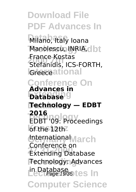**Download File PDF Advances In** Milano, Italy Ioana **Manolescu, INRIA, dbt 2000 7th** Stefanidis, ICS-FORTH, **I**creadational **Conference On Extending Database Database Technology — EDBT Technology** EDBT '09: Proceedings **Konstanz** of the 12th **International** March **27 31 2000** Extending Database **Proceedings** Technology: Advances in Database<br>Lect*Page 19/35* tes In **Computer Science** France Kostas **Advances in 2016** Conference on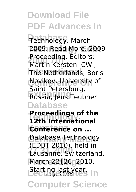**Technology.** March **Technology Edbt** 2009. Read More. 2009 **2000 7th** Martin Kersten. CWI, **The Netherlands, Boris Conference On** Novikov. University of **Extending** Russia, Jens Teubner. **Database** Proceeding. Editors: Saint Petersburg,

**Proceedings of the**<br>12th International **Conference on ...** Database Technology **27 31 2000** Lausanne, Switzerland, **Proceedings** March 22{26, 2010. **Lecture last year, In 12th International** (EDBT 2010), held in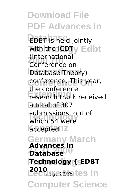**Download File PDF Advances In EDBT** is held jointly with the ICDT<sub>y</sub> Edbt **2000 7th** Conference on Database Theory) **Conference On** conference. This year, research track received a total of 307 **Technology** which 54 were accepted.<sup>2</sup> **Germany March Advances in Database**<sup>00</sup> **Proceedings Technology { EDBT LectPage 21/35 tes In Computer Science** (International the conference submissions, out of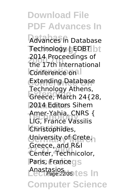**Download File PDF Advances In Database** Advances in Database Technology | EDBT | bt **2000 7th** the 17th International **Conference on Conference On** Extending Database **Extending** Greece, March 24{28, 2014 Editors Sihem **Technology** LIG, France Vassilis **Konstanz** Christophides, University of Crete, **27 31 2000** Center, Technicolor, Paris, Francegs Anastasios<br>Lect*Page 22/35* tes In **Computer Science** 2014 Proceedings of Technology Athens, Amer-Yahia, CNRS { Greece, and R&I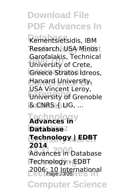**Database** Kementsietsidis, IBM Research, USA Minos **2000 7th** University of Crete, **Greece Stratos Idreos, Conference On** Harvard University, **Extending**<br>
University of Grenoble **Database** & CNRS { LIG, ... Garofalakis, Technical USA Vincent Leroy,

**Technology Advances in Konstanz Database Germany March Technology | EDBT 27 31 2000** Advances in Database **Proceedings** Technology - EDBT 2006: 10 International<br>Page 23/35 **2014**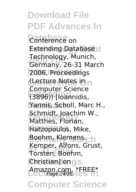**Download File PDF Advances In Conference** on **Extending Database Technology, Munich,<br>Germany, 26-31 Mar International** 2006, Proceedings **Conference On** (Lecture Notes in **Extending** (3896)) [Ioannidis, Yannis, Scholl, Marc H., **Technology** Matthes, Florian, **Konstanz** Hatzopoulos, Mike, Boehm, Klemens, ch **27 31 2000** Torsten, Boehm, **Christian**] ongs Amazon.com. \*FREE\*<br>Lecture <sub>Page</sub> 24/35 **Computer Science** Germany, 26-31 March Computer Science Schmidt, Joachim W., Kemper, Alfons, Grust,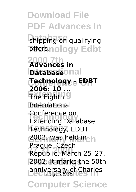**Download File PDF Advances In Shipping on qualifying Toffers.nology Edbt 2000 7th Advances in Inatabase**onal **Conference On Technology - EDBT External Conditions International Technology** Extending Database **Konstanz** Technology, EDBT **Germany March** 2002, was held in **27 31 2000** Republic, March 25–27, **Proceedings** 2002. It marks the 50th anniversary of Charles<br>Page 25/35 **Computer Science 2006: 10 ...** Conference on Prague, Czech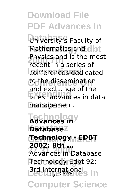**University's Faculty of Mathematics and clbt 2000 7th** recent in a series of conferences dedicated to the dissemination **Extending** latest advances in data management. Physics and is the most and exchange of the

**Technology Advances in Konstanz Database Germany March Technology - EDBT 27 31 2000** Advances in Database **Proceedings** Technology-Edbt 92: **Brd International Page 26/35 Less In 2002: 8th ...**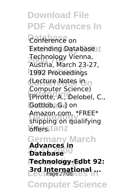**Download File PDF Advances In Conference** on **Extending Database 2000 7th** Austria, March 23-27, **International** 1992 Proceedings **Coeture Notes in Extending** [Pirotte, A., Delobel, C., Gottlob, G.] on Amazon.com. "FREE"<br>Shipping on qualifying **K**fenstanz **Germany March Database**<sup>00</sup> **Proceedings Technology-Edbt 92: Brd International ... Computer Science** Technology Vienna, Computer Science) Amazon.com. \*FREE\* **Advances in**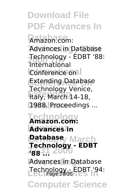**Download File PDF Advances In** Amazon.com: Advances in Database **2000 7th** International **Conference on Conference On** Extending Database **Extending** Italy, March 14-18, 1988. Proceedings ... Technology - EDBT '88: Technology Venice,

**Technology Amazon.com: Konstanz Advances in Germany March Database 27 31 2000 '88 ...** Advances in Database Technology - EDBT '94:<br>Page 28/35 **Computer Science Technology - EDBT**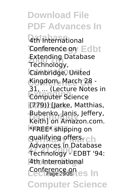**Download File PDF Advances In 4th International Conference on Edbt 2000 7th** Technology, **International** Cambridge, United Kingdom, March 28 -**Extending Transferred** (779)) [Jarke, Matthias, **Bubenko, Janis, Jeffery,<br>Kojthl en Amazon com Konstanz** \*FREE\* shipping on **gualifying offersrch 27 31 2000** Technology - EDBT '94: **Proceedings** 4th International **Lecture on Page 29/35 Less In Computer Science** Extending Database 31, ... (Lecture Notes in Keith] on Amazon.com. Advances in Database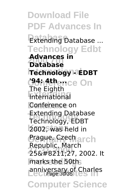**Download File PDF Advances In Database** Extending Database ... **Technology Edbt 2000 7th Database International Technology - EDBT <u>C</u>AnAthence On Extending** International **Conference on Technology** Technology, EDBT **Konstanz** 2002, was held in *<u> Crague, Czechlarch</u>* **27 31 2000** 25–27, 2002. It marks the 50th anniversary of Charles<br>Page 30/35 **Computer Science Advances in** The Eighth Extending Database Republic, March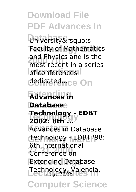**University's Faculty of Mathematics** and Physics and is the<br>most recent in a series **Iof** conferences<sup>1</sup> dedicated<sub>nce</sub> On and Physics and is the

**Extending Advances in Database Database Technology 2002: 8th ... Konstanz** Advances in Database **Germany March** Technology - EDBT '98: **281 31 20100 Extending Database** Technology, Valencia, **Technology - EDBT** 6th International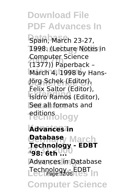**Download File PDF Advances In Spain, March 23-27,** 1998. (Lecture Notes in **2000 7th** (1377)) Paperback – **March 4, 1998 by Hans-**Jörg Schek (Editor), **Extra** Sattor (Editor), See all formats and -editions<br>Technology **Konstanz Advances in** Computer Science Felix Saltor (Editor),

**Germany March Database 27 31 2000 '98: 6th ...** Advances in Database **Lechnology - EDBT** In **Technology - EDBT**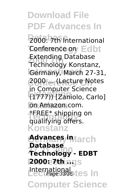**Download File PDF Advances In** 2000: 7th International **Conference on Edbt 2000 7th** Technology Konstanz, Germany, March 27-31, **Conference On** 2000 ... (Lecture Notes **Extending** (1777)) [Zaniolo, Carlo] on Amazon.com. **TEREET Shipping**<br>qualifying offers. **Konstanz Germany March Advances in 27 31 2000 Technology - EDBT Proceedings 2000: 7th ...** International<br>Lect*Page 33/35* tes In **Computer Science** Extending Database in Computer Science \*FREE\* shipping on **Database**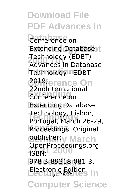**Download File PDF Advances In Conference** on **Extending Database Technology (EDBT)**<br>Advances in Datab **International** Technology - EDBT **Conference On** 2019, **Extending** Conference on **Database** Extending Database **Technology** Technology, Lisbon, **Proceedings. Original gublisheriy March 27 31 2000** ISBN: **Proceedings** 978-3-89318-081-3, **Electronic Edition.**<br> **Lectr***Page* 34/35 Less In **Computer Science** Advances in Database 22ndInternational Portugal, March 26-29, OpenProceedings.org,